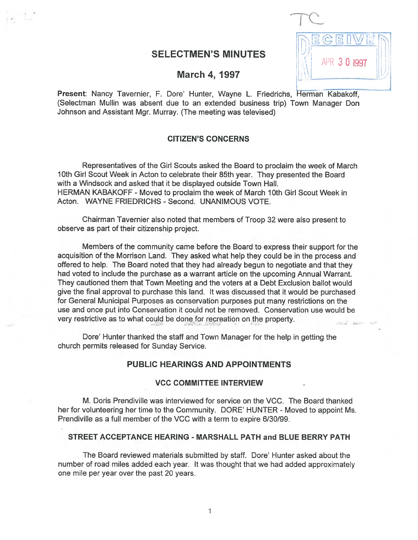# SELECTMEN'S MINUTES

APR 3 0 1997

### March 4, 1997

Present: Nancy Tavernier, F. Dore' Hunter, Wayne L. Friedrichs, Herman Kabakoff, (Selectman Mullin was absent due to an extended business trip) Town Manager Don Johnson and Assistant Mgr. Murray. (The meeting was televised)

## CITIZEN'S CONCERNS

Representatives of the Girl Scouts asked the Board to proclaim the week of March 10th Girl Scout Week in Acton to celebrate their 85th year. They presented the Board with <sup>a</sup> Windsock and asked that it be displayed outside Town Hall. HERMAN KABAKOFF - Moved to proclaim the week of March 10th Girl Scout Week in Acton. WAYNE FRIEDRICHS - Second. UNANIMOUS VOTE.

Chairman Tavernier also noted that members of Troop 32 were also presen<sup>t</sup> to observe as par<sup>t</sup> of their citizenship project.

Members of the community came before the Board to express their suppor<sup>t</sup> for the acquisition of the Morrison Land. They asked what help they could be in the process and offered to help. The Board noted that they had already begun to negotiate and that they had voted to include the purchase as <sup>a</sup> warrant article on the upcoming Annual Warrant. They cautioned them that Town Meeting and the voters at <sup>a</sup> Debt Exclusion ballot would give the final approval to purchase this land. It was discussed that it would be purchased for General Municipal Purposes as conservation purposes pu<sup>t</sup> many restrictions on the use and once pu<sup>t</sup> into Conservation it could not be removed. Conservation use would be very restrictive as to what could be done for recreation on the property.

Dore' Hunter thanked the staff and Town Manager for the help in getting the church permits released for Sunday Service.

### PUBLIC HEARINGS AND APPOINTMENTS

#### VCC COMMITTEE INTERVIEW

M. Doris Prendiville was interviewed for service on the VCC. The Board thanked her for volunteering her time to the Community. DORE' HUNTER - Moved to appoint Ms. Prendiville as <sup>a</sup> full member of the VCC with <sup>a</sup> term to expire 6/30/99.

#### STREET ACCEPTANCE HEARING - MARSHALL PATH and BLUE BERRY PATH

The Board reviewed materials submitted by staff. Dore' Hunter asked about the number of road miles added each year. It was thought that we had added approximately one mile per year over the pas<sup>t</sup> 20 years.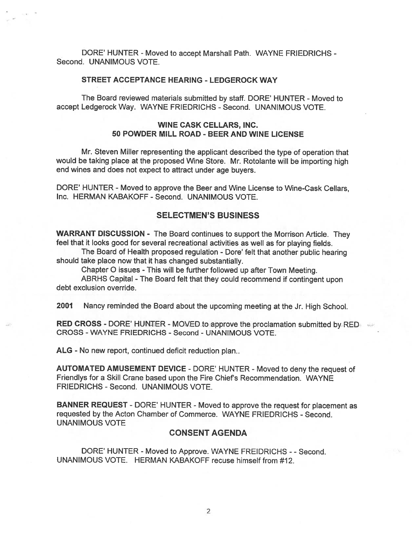DORE' HUNTER - Moved to accept Marshall Path. WAYNE FRIEDRICHS -Second. UNANIMOUS VOTE.

#### STREET ACCEPTANCE HEARING - LEDGEROCK WAY

The Board reviewed materials submitted by staff. DORE' HUNTER -Moved to accep<sup>t</sup> Ledgerock Way. WAYNE FRIEDRICHS - Second. UNANIMOUS VOTE.

### WINE CASK CELLARS, INC. 50 POWDER MILL ROAD - BEER AND WINE LICENSE

Mr. Steven Miller representing the applicant described the type of operation that would be taking <sup>p</sup>lace at the propose<sup>d</sup> Wine Store. Mr. Rotolante will be importing high end wines and does not expec<sup>t</sup> to attract under age buyers.

DORE' HUNTER - Moved to approve the Beer and Wine License to Wine-Cask Cellars, Inc. HERMAN KABAKOFF -Second. UNANIMOUS VOTE.

#### SELECTMEN'S BUSINESS

WARRANT DISCUSSION - The Board continues to suppor<sup>t</sup> the Morrison Article. They feel that it looks goo<sup>d</sup> for several recreational activities as well as for <sup>p</sup>laying fields.

The Board of Health propose<sup>d</sup> regulation - Dote' felt that another public hearing should take place now that it has changed substantially.

Chapter <sup>0</sup> issues - This will be further followed up after Town Meeting.

ABRHS Capital - The Board felt that they could recommend if contingent upon debt exclusion override.

2001 Nancy reminded the Board about the upcoming meeting at the Jr. High School.

RED CROSS - DORE' HUNTER - MOVED to approve the proclamation submitted by RED CROSS -WAYNE FRIEDRICHS - Second - UNANIMOUS VOTE.

ALG - No new report, continued deficit reduction plan..

AUTOMATED AMUSEMENT DEVICE - DORE' HUNTER - Moved to deny the reques<sup>t</sup> of Friendlys for <sup>a</sup> Skill Crane based upon the Fire Chief's Recommendation. WAYNE FRIEDRICHS - Second. UNANIMOUS VOTE.

BANNER REQUEST - DORE' HUNTER - Moved to approve the request for placement as requested by the Acton Chamber of Commerce. WAYNE FRIEDRICHS - Second. UNANIMOUS VOTE

#### CONSENT AGENDA

DORE' HUNTER - Moved to Approve. WAYNE FREIDRICHS - - Second. UNANIMOUS VOTE. HERMAN KABAKOFF recuse himself from #12.